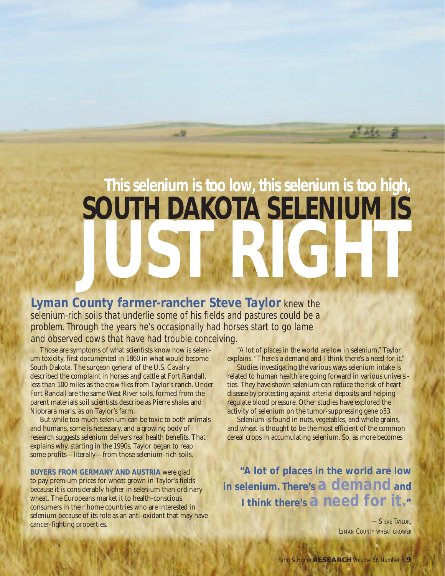## **This selenium is too low, this selenium is too high, SOUTH DAKOTA SELENIUM IS JUST RIGHT**

**Lyman County farmer-rancher Steve Taylor** knew the selenium-rich soils that underlie some of his fields and pastures could be a problem. Through the years he's occasionally had horses start to go lame and observed cows that have had trouble conceiving.

Those are symptoms of what scientists know now is selenium toxicity, first documented in 1860 in what would become South Dakota. The surgeon general of the U.S. Cavalry described the complaint in horses and cattle at Fort Randall, less than 100 miles as the crow flies from Taylor's ranch. Under Fort Randall are the same West River soils, formed from the parent materials soil scientists describe as Pierre shales and Niobrara marls, as on Taylor's farm.

But while too much selenium can be toxic to both animals and humans, some is necessary, and a growing body of research suggests selenium delivers real health benefits. That explains why, starting in the 1990s, Taylor began to reap some profits—literally—from those selenium-rich soils.

**BUYERS FROM GERMANY AND AUSTRIA** were glad to pay premium prices for wheat grown in Taylor's fields because it is considerably higher in selenium than ordinary wheat. The Europeans market it to health-conscious consumers in their home countries who are interested in selenium because of its role as an anti-oxidant that may have cancer-fighting properties.

"A lot of places in the world are low in selenium," Taylor explains. "There's a demand and I think there's a need for it." Studies investigating the various ways selenium intake is related to human health are going forward in various universities. They have shown selenium can reduce the risk of heart disease by protecting against arterial deposits and helping regulate blood pressure. Other studies have explored the activity of selenium on the tumor-suppressing gene p53.

Selenium is found in nuts, vegetables, and whole grains, and wheat is thought to be the most efficient of the common cereal crops in accumulating selenium. So, as more becomes

**"A lot of places in the world are low in selenium. There's a demand and <sup>I</sup> think there's a need for it."**

> **STEVE TAYLOR** LYMAN COUNTY WHEAT GROWER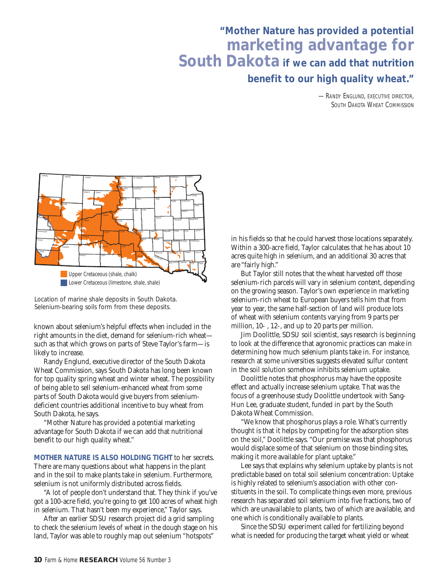## **"Mother Nature has provided a potential marketing advantage for South Dakota if we can add that nutrition benefit to our high quality wheat."**

-RANDY ENGLUND, EXECUTIVE DIRECTOR, SOUTH DAKOTA WHEAT COMMISSION



Location of marine shale deposits in South Dakota. Selenium-bearing soils form from these deposits.

known about selenium's helpful effects when included in the right amounts in the diet, demand for selenium-rich wheat such as that which grows on parts of Steve Taylor's farm—is likely to increase.

Randy Englund, executive director of the South Dakota Wheat Commission, says South Dakota has long been known for top quality spring wheat and winter wheat. The possibility of being able to sell selenium-enhanced wheat from some parts of South Dakota would give buyers from seleniumdeficient countries additional incentive to buy wheat from South Dakota, he says.

"Mother Nature has provided a potential marketing advantage for South Dakota if we can add that nutritional benefit to our high quality wheat."

**MOTHER NATURE IS ALSO HOLDING TIGHT** to her secrets. There are many questions about what happens in the plant and in the soil to make plants take in selenium. Furthermore, selenium is not uniformly distributed across fields.

"A lot of people don't understand that. They think if you've got a 100-acre field, you're going to get 100 acres of wheat high in selenium. That hasn't been my experience," Taylor says.

After an earlier SDSU research project did a grid sampling to check the selenium levels of wheat in the dough stage on his land, Taylor was able to roughly map out selenium "hotspots"

in his fields so that he could harvest those locations separately. Within a 300-acre field, Taylor calculates that he has about 10 acres quite high in selenium, and an additional 30 acres that are "fairly high."

But Taylor still notes that the wheat harvested off those selenium-rich parcels will vary in selenium content, depending on the growing season. Taylor's own experience in marketing selenium-rich wheat to European buyers tells him that from year to year, the same half-section of land will produce lots of wheat with selenium contents varying from 9 parts per million, 10- , 12-, and up to 20 parts per million.

Jim Doolittle, SDSU soil scientist, says research is beginning to look at the difference that agronomic practices can make in determining how much selenium plants take in. For instance, research at some universities suggests elevated sulfur content in the soil solution somehow inhibits selenium uptake.

Doolittle notes that phosphorus may have the opposite effect and actually increase selenium uptake. That was the focus of a greenhouse study Doolittle undertook with Sang-Hun Lee, graduate student, funded in part by the South Dakota Wheat Commission.

"We know that phosphorus plays a role. What's currently thought is that it helps by competing for the adsorption sites on the soil," Doolittle says. "Our premise was that phosphorus would displace some of that selenium on those binding sites, making it more available for plant uptake."

Lee says that explains why selenium uptake by plants is not predictable based on total soil selenium concentration: Uptake is highly related to selenium's association with other constituents in the soil. To complicate things even more, previous research has separated soil selenium into five fractions, two of which are unavailable to plants, two of which are available, and one which is conditionally available to plants.

Since the SDSU experiment called for fertilizing beyond what is needed for producing the target wheat yield or wheat